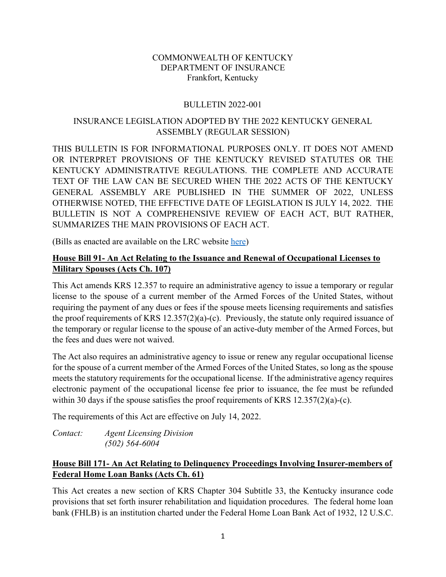#### COMMONWEALTH OF KENTUCKY DEPARTMENT OF INSURANCE Frankfort, Kentucky

#### BULLETIN 2022-001

## INSURANCE LEGISLATION ADOPTED BY THE 2022 KENTUCKY GENERAL ASSEMBLY (REGULAR SESSION)

THIS BULLETIN IS FOR INFORMATIONAL PURPOSES ONLY. IT DOES NOT AMEND OR INTERPRET PROVISIONS OF THE KENTUCKY REVISED STATUTES OR THE KENTUCKY ADMINISTRATIVE REGULATIONS. THE COMPLETE AND ACCURATE TEXT OF THE LAW CAN BE SECURED WHEN THE 2022 ACTS OF THE KENTUCKY GENERAL ASSEMBLY ARE PUBLISHED IN THE SUMMER OF 2022, UNLESS OTHERWISE NOTED, THE EFFECTIVE DATE OF LEGISLATION IS JULY 14, 2022. THE BULLETIN IS NOT A COMPREHENSIVE REVIEW OF EACH ACT, BUT RATHER, SUMMARIZES THE MAIN PROVISIONS OF EACH ACT.

(Bills as enacted are available on the LRC website [here\)](https://apps.legislature.ky.gov/record/22rs/record.html)

## **House Bill 91- An Act Relating to the Issuance and Renewal of Occupational Licenses to Military Spouses (Acts Ch. 107)**

This Act amends KRS 12.357 to require an administrative agency to issue a temporary or regular license to the spouse of a current member of the Armed Forces of the United States, without requiring the payment of any dues or fees if the spouse meets licensing requirements and satisfies the proof requirements of KRS 12.357(2)(a)-(c). Previously, the statute only required issuance of the temporary or regular license to the spouse of an active-duty member of the Armed Forces, but the fees and dues were not waived.

The Act also requires an administrative agency to issue or renew any regular occupational license for the spouse of a current member of the Armed Forces of the United States, so long as the spouse meets the statutory requirements for the occupational license. If the administrative agency requires electronic payment of the occupational license fee prior to issuance, the fee must be refunded within 30 days if the spouse satisfies the proof requirements of KRS 12.357(2)(a)-(c).

The requirements of this Act are effective on July 14, 2022.

*Contact: Agent Licensing Division (502) 564-6004* 

# **House Bill 171- An Act Relating to Delinquency Proceedings Involving Insurer-members of Federal Home Loan Banks (Acts Ch. 61)**

This Act creates a new section of KRS Chapter 304 Subtitle 33, the Kentucky insurance code provisions that set forth insurer rehabilitation and liquidation procedures. The federal home loan bank (FHLB) is an institution charted under the Federal Home Loan Bank Act of 1932, 12 U.S.C.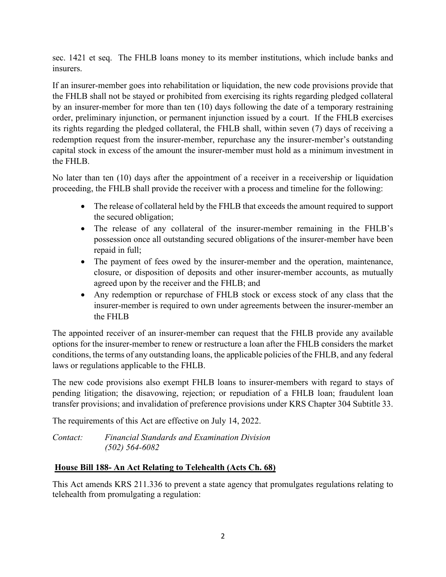sec. 1421 et seq. The FHLB loans money to its member institutions, which include banks and insurers.

If an insurer-member goes into rehabilitation or liquidation, the new code provisions provide that the FHLB shall not be stayed or prohibited from exercising its rights regarding pledged collateral by an insurer-member for more than ten (10) days following the date of a temporary restraining order, preliminary injunction, or permanent injunction issued by a court. If the FHLB exercises its rights regarding the pledged collateral, the FHLB shall, within seven (7) days of receiving a redemption request from the insurer-member, repurchase any the insurer-member's outstanding capital stock in excess of the amount the insurer-member must hold as a minimum investment in the FHLB.

No later than ten (10) days after the appointment of a receiver in a receivership or liquidation proceeding, the FHLB shall provide the receiver with a process and timeline for the following:

- The release of collateral held by the FHLB that exceeds the amount required to support the secured obligation;
- The release of any collateral of the insurer-member remaining in the FHLB's possession once all outstanding secured obligations of the insurer-member have been repaid in full;
- The payment of fees owed by the insurer-member and the operation, maintenance, closure, or disposition of deposits and other insurer-member accounts, as mutually agreed upon by the receiver and the FHLB; and
- Any redemption or repurchase of FHLB stock or excess stock of any class that the insurer-member is required to own under agreements between the insurer-member an the FHLB

The appointed receiver of an insurer-member can request that the FHLB provide any available options for the insurer-member to renew or restructure a loan after the FHLB considers the market conditions, the terms of any outstanding loans, the applicable policies of the FHLB, and any federal laws or regulations applicable to the FHLB.

The new code provisions also exempt FHLB loans to insurer-members with regard to stays of pending litigation; the disavowing, rejection; or repudiation of a FHLB loan; fraudulent loan transfer provisions; and invalidation of preference provisions under KRS Chapter 304 Subtitle 33.

The requirements of this Act are effective on July 14, 2022.

*Contact: Financial Standards and Examination Division (502) 564-6082* 

# **House Bill 188- An Act Relating to Telehealth (Acts Ch. 68)**

This Act amends KRS 211.336 to prevent a state agency that promulgates regulations relating to telehealth from promulgating a regulation: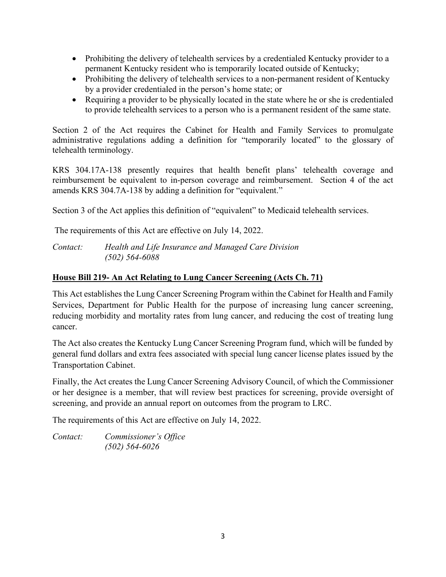- Prohibiting the delivery of telehealth services by a credentialed Kentucky provider to a permanent Kentucky resident who is temporarily located outside of Kentucky;
- Prohibiting the delivery of telehealth services to a non-permanent resident of Kentucky by a provider credentialed in the person's home state; or
- Requiring a provider to be physically located in the state where he or she is credentialed to provide telehealth services to a person who is a permanent resident of the same state.

Section 2 of the Act requires the Cabinet for Health and Family Services to promulgate administrative regulations adding a definition for "temporarily located" to the glossary of telehealth terminology.

KRS 304.17A-138 presently requires that health benefit plans' telehealth coverage and reimbursement be equivalent to in-person coverage and reimbursement. Section 4 of the act amends KRS 304.7A-138 by adding a definition for "equivalent."

Section 3 of the Act applies this definition of "equivalent" to Medicaid telehealth services.

The requirements of this Act are effective on July 14, 2022.

*Contact: Health and Life Insurance and Managed Care Division (502) 564-6088* 

## **House Bill 219- An Act Relating to Lung Cancer Screening (Acts Ch. 71)**

This Act establishes the Lung Cancer Screening Program within the Cabinet for Health and Family Services, Department for Public Health for the purpose of increasing lung cancer screening, reducing morbidity and mortality rates from lung cancer, and reducing the cost of treating lung cancer.

The Act also creates the Kentucky Lung Cancer Screening Program fund, which will be funded by general fund dollars and extra fees associated with special lung cancer license plates issued by the Transportation Cabinet.

Finally, the Act creates the Lung Cancer Screening Advisory Council, of which the Commissioner or her designee is a member, that will review best practices for screening, provide oversight of screening, and provide an annual report on outcomes from the program to LRC.

The requirements of this Act are effective on July 14, 2022.

*Contact: Commissioner's Office (502) 564-6026*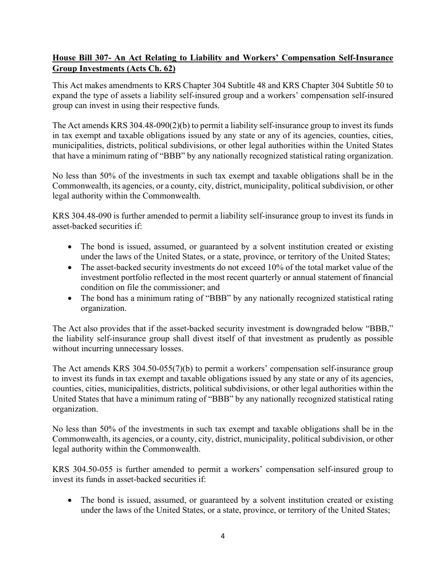# **House Bill 307- An Act Relating to Liability and Workers' Compensation Self-Insurance Group Investments (Acts Ch. 62)**

This Act makes amendments to KRS Chapter 304 Subtitle 48 and KRS Chapter 304 Subtitle 50 to expand the type of assets a liability self-insured group and a workers' compensation self-insured group can invest in using their respective funds.

The Act amends KRS 304.48-090(2)(b) to permit a liability self-insurance group to invest its funds in tax exempt and taxable obligations issued by any state or any of its agencies, counties, cities, municipalities, districts, political subdivisions, or other legal authorities within the United States that have a minimum rating of "BBB" by any nationally recognized statistical rating organization.

No less than 50% of the investments in such tax exempt and taxable obligations shall be in the Commonwealth, its agencies, or a county, city, district, municipality, political subdivision, or other legal authority within the Commonwealth.

KRS 304.48-090 is further amended to permit a liability self-insurance group to invest its funds in asset-backed securities if:

- The bond is issued, assumed, or guaranteed by a solvent institution created or existing under the laws of the United States, or a state, province, or territory of the United States;
- The asset-backed security investments do not exceed 10% of the total market value of the investment portfolio reflected in the most recent quarterly or annual statement of financial condition on file the commissioner; and
- The bond has a minimum rating of "BBB" by any nationally recognized statistical rating organization.

The Act also provides that if the asset-backed security investment is downgraded below "BBB," the liability self-insurance group shall divest itself of that investment as prudently as possible without incurring unnecessary losses.

The Act amends KRS 304.50-055(7)(b) to permit a workers' compensation self-insurance group to invest its funds in tax exempt and taxable obligations issued by any state or any of its agencies, counties, cities, municipalities, districts, political subdivisions, or other legal authorities within the United States that have a minimum rating of "BBB" by any nationally recognized statistical rating organization.

No less than 50% of the investments in such tax exempt and taxable obligations shall be in the Commonwealth, its agencies, or a county, city, district, municipality, political subdivision, or other legal authority within the Commonwealth.

KRS 304.50-055 is further amended to permit a workers' compensation self-insured group to invest its funds in asset-backed securities if:

• The bond is issued, assumed, or guaranteed by a solvent institution created or existing under the laws of the United States, or a state, province, or territory of the United States;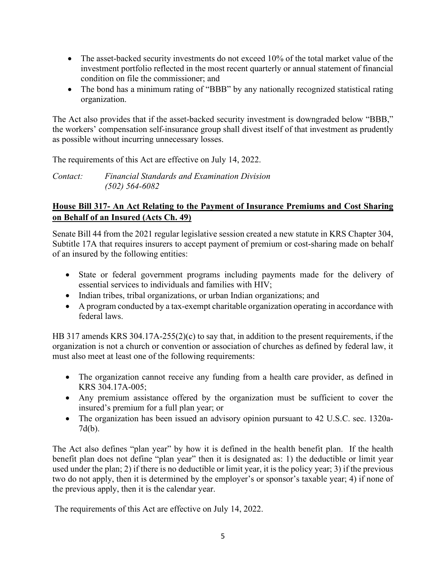- The asset-backed security investments do not exceed 10% of the total market value of the investment portfolio reflected in the most recent quarterly or annual statement of financial condition on file the commissioner; and
- The bond has a minimum rating of "BBB" by any nationally recognized statistical rating organization.

The Act also provides that if the asset-backed security investment is downgraded below "BBB," the workers' compensation self-insurance group shall divest itself of that investment as prudently as possible without incurring unnecessary losses.

The requirements of this Act are effective on July 14, 2022.

*Contact: Financial Standards and Examination Division (502) 564-6082* 

# **House Bill 317- An Act Relating to the Payment of Insurance Premiums and Cost Sharing on Behalf of an Insured (Acts Ch. 49)**

Senate Bill 44 from the 2021 regular legislative session created a new statute in KRS Chapter 304, Subtitle 17A that requires insurers to accept payment of premium or cost-sharing made on behalf of an insured by the following entities:

- State or federal government programs including payments made for the delivery of essential services to individuals and families with HIV;
- Indian tribes, tribal organizations, or urban Indian organizations; and
- A program conducted by a tax-exempt charitable organization operating in accordance with federal laws.

HB 317 amends KRS 304.17A-255(2)(c) to say that, in addition to the present requirements, if the organization is not a church or convention or association of churches as defined by federal law, it must also meet at least one of the following requirements:

- The organization cannot receive any funding from a health care provider, as defined in KRS 304.17A-005;
- Any premium assistance offered by the organization must be sufficient to cover the insured's premium for a full plan year; or
- The organization has been issued an advisory opinion pursuant to 42 U.S.C. sec. 1320a-7d(b).

The Act also defines "plan year" by how it is defined in the health benefit plan. If the health benefit plan does not define "plan year" then it is designated as: 1) the deductible or limit year used under the plan; 2) if there is no deductible or limit year, it is the policy year; 3) if the previous two do not apply, then it is determined by the employer's or sponsor's taxable year; 4) if none of the previous apply, then it is the calendar year.

The requirements of this Act are effective on July 14, 2022.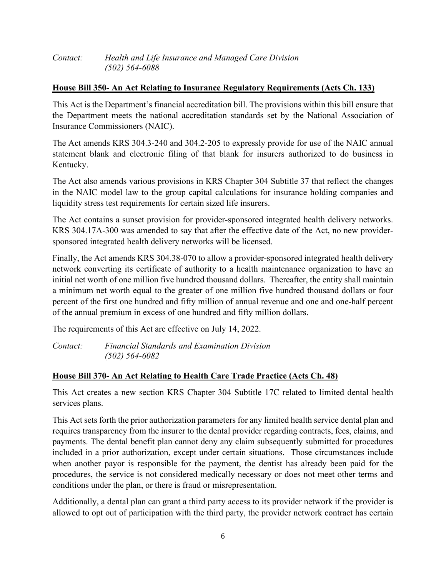| Contact: | Health and Life Insurance and Managed Care Division |
|----------|-----------------------------------------------------|
|          | $(502)$ 564-6088                                    |

#### **House Bill 350- An Act Relating to Insurance Regulatory Requirements (Acts Ch. 133)**

This Act is the Department's financial accreditation bill. The provisions within this bill ensure that the Department meets the national accreditation standards set by the National Association of Insurance Commissioners (NAIC).

The Act amends KRS 304.3-240 and 304.2-205 to expressly provide for use of the NAIC annual statement blank and electronic filing of that blank for insurers authorized to do business in Kentucky.

The Act also amends various provisions in KRS Chapter 304 Subtitle 37 that reflect the changes in the NAIC model law to the group capital calculations for insurance holding companies and liquidity stress test requirements for certain sized life insurers.

The Act contains a sunset provision for provider-sponsored integrated health delivery networks. KRS 304.17A-300 was amended to say that after the effective date of the Act, no new providersponsored integrated health delivery networks will be licensed.

Finally, the Act amends KRS 304.38-070 to allow a provider-sponsored integrated health delivery network converting its certificate of authority to a health maintenance organization to have an initial net worth of one million five hundred thousand dollars. Thereafter, the entity shall maintain a minimum net worth equal to the greater of one million five hundred thousand dollars or four percent of the first one hundred and fifty million of annual revenue and one and one-half percent of the annual premium in excess of one hundred and fifty million dollars.

The requirements of this Act are effective on July 14, 2022.

*Contact: Financial Standards and Examination Division (502) 564-6082* 

## **House Bill 370- An Act Relating to Health Care Trade Practice (Acts Ch. 48)**

This Act creates a new section KRS Chapter 304 Subtitle 17C related to limited dental health services plans.

This Act sets forth the prior authorization parameters for any limited health service dental plan and requires transparency from the insurer to the dental provider regarding contracts, fees, claims, and payments. The dental benefit plan cannot deny any claim subsequently submitted for procedures included in a prior authorization, except under certain situations. Those circumstances include when another payor is responsible for the payment, the dentist has already been paid for the procedures, the service is not considered medically necessary or does not meet other terms and conditions under the plan, or there is fraud or misrepresentation.

Additionally, a dental plan can grant a third party access to its provider network if the provider is allowed to opt out of participation with the third party, the provider network contract has certain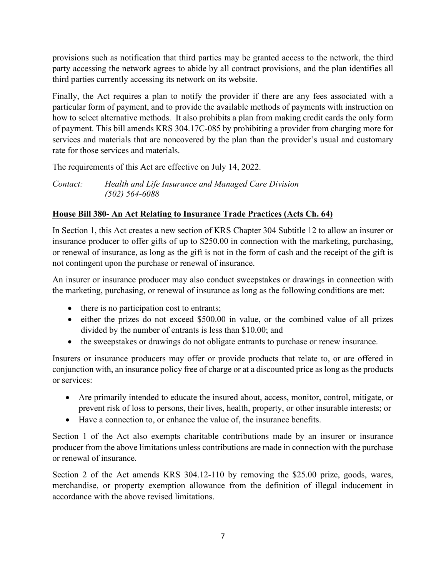provisions such as notification that third parties may be granted access to the network, the third party accessing the network agrees to abide by all contract provisions, and the plan identifies all third parties currently accessing its network on its website.

Finally, the Act requires a plan to notify the provider if there are any fees associated with a particular form of payment, and to provide the available methods of payments with instruction on how to select alternative methods. It also prohibits a plan from making credit cards the only form of payment. This bill amends KRS 304.17C-085 by prohibiting a provider from charging more for services and materials that are noncovered by the plan than the provider's usual and customary rate for those services and materials.

The requirements of this Act are effective on July 14, 2022.

*Contact: Health and Life Insurance and Managed Care Division (502) 564-6088* 

# **House Bill 380- An Act Relating to Insurance Trade Practices (Acts Ch. 64)**

In Section 1, this Act creates a new section of KRS Chapter 304 Subtitle 12 to allow an insurer or insurance producer to offer gifts of up to \$250.00 in connection with the marketing, purchasing, or renewal of insurance, as long as the gift is not in the form of cash and the receipt of the gift is not contingent upon the purchase or renewal of insurance.

An insurer or insurance producer may also conduct sweepstakes or drawings in connection with the marketing, purchasing, or renewal of insurance as long as the following conditions are met:

- there is no participation cost to entrants;
- either the prizes do not exceed \$500.00 in value, or the combined value of all prizes divided by the number of entrants is less than \$10.00; and
- the sweepstakes or drawings do not obligate entrants to purchase or renew insurance.

Insurers or insurance producers may offer or provide products that relate to, or are offered in conjunction with, an insurance policy free of charge or at a discounted price as long as the products or services:

- Are primarily intended to educate the insured about, access, monitor, control, mitigate, or prevent risk of loss to persons, their lives, health, property, or other insurable interests; or
- Have a connection to, or enhance the value of, the insurance benefits.

Section 1 of the Act also exempts charitable contributions made by an insurer or insurance producer from the above limitations unless contributions are made in connection with the purchase or renewal of insurance.

Section 2 of the Act amends KRS 304.12-110 by removing the \$25.00 prize, goods, wares, merchandise, or property exemption allowance from the definition of illegal inducement in accordance with the above revised limitations.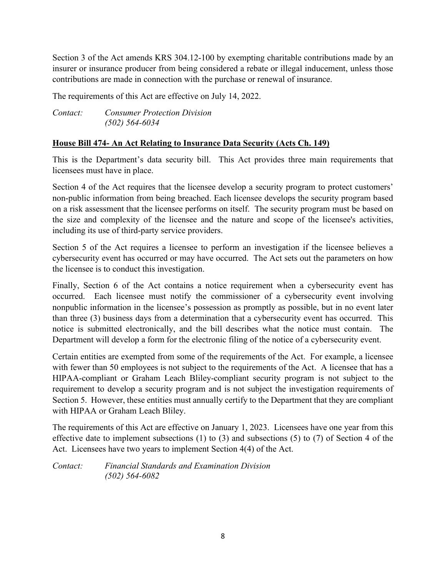Section 3 of the Act amends KRS 304.12-100 by exempting charitable contributions made by an insurer or insurance producer from being considered a rebate or illegal inducement, unless those contributions are made in connection with the purchase or renewal of insurance.

The requirements of this Act are effective on July 14, 2022.

*Contact: Consumer Protection Division (502) 564-6034* 

## **House Bill 474- An Act Relating to Insurance Data Security (Acts Ch. 149)**

This is the Department's data security bill. This Act provides three main requirements that licensees must have in place.

Section 4 of the Act requires that the licensee develop a security program to protect customers' non-public information from being breached. Each licensee develops the security program based on a risk assessment that the licensee performs on itself. The security program must be based on the size and complexity of the licensee and the nature and scope of the licensee's activities, including its use of third-party service providers.

Section 5 of the Act requires a licensee to perform an investigation if the licensee believes a cybersecurity event has occurred or may have occurred. The Act sets out the parameters on how the licensee is to conduct this investigation.

Finally, Section 6 of the Act contains a notice requirement when a cybersecurity event has occurred. Each licensee must notify the commissioner of a cybersecurity event involving nonpublic information in the licensee's possession as promptly as possible, but in no event later than three (3) business days from a determination that a cybersecurity event has occurred. This notice is submitted electronically, and the bill describes what the notice must contain. The Department will develop a form for the electronic filing of the notice of a cybersecurity event.

Certain entities are exempted from some of the requirements of the Act. For example, a licensee with fewer than 50 employees is not subject to the requirements of the Act. A licensee that has a HIPAA-compliant or Graham Leach Bliley-compliant security program is not subject to the requirement to develop a security program and is not subject the investigation requirements of Section 5. However, these entities must annually certify to the Department that they are compliant with HIPAA or Graham Leach Bliley.

The requirements of this Act are effective on January 1, 2023. Licensees have one year from this effective date to implement subsections (1) to (3) and subsections (5) to (7) of Section 4 of the Act. Licensees have two years to implement Section 4(4) of the Act.

*Contact: Financial Standards and Examination Division (502) 564-6082*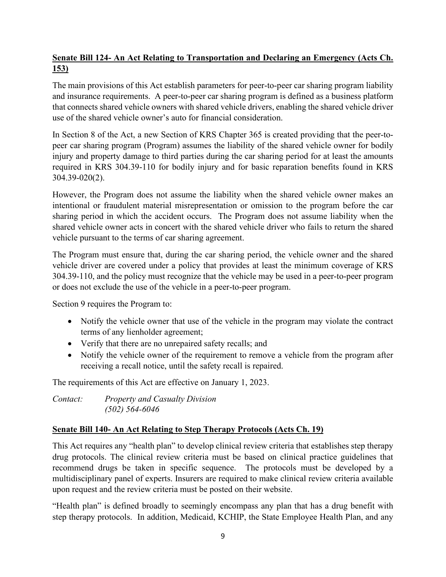# **Senate Bill 124- An Act Relating to Transportation and Declaring an Emergency (Acts Ch. 153)**

The main provisions of this Act establish parameters for peer-to-peer car sharing program liability and insurance requirements. A peer-to-peer car sharing program is defined as a business platform that connects shared vehicle owners with shared vehicle drivers, enabling the shared vehicle driver use of the shared vehicle owner's auto for financial consideration.

In Section 8 of the Act, a new Section of KRS Chapter 365 is created providing that the peer-topeer car sharing program (Program) assumes the liability of the shared vehicle owner for bodily injury and property damage to third parties during the car sharing period for at least the amounts required in KRS 304.39-110 for bodily injury and for basic reparation benefits found in KRS 304.39-020(2).

However, the Program does not assume the liability when the shared vehicle owner makes an intentional or fraudulent material misrepresentation or omission to the program before the car sharing period in which the accident occurs. The Program does not assume liability when the shared vehicle owner acts in concert with the shared vehicle driver who fails to return the shared vehicle pursuant to the terms of car sharing agreement.

The Program must ensure that, during the car sharing period, the vehicle owner and the shared vehicle driver are covered under a policy that provides at least the minimum coverage of KRS 304.39-110, and the policy must recognize that the vehicle may be used in a peer-to-peer program or does not exclude the use of the vehicle in a peer-to-peer program.

Section 9 requires the Program to:

- Notify the vehicle owner that use of the vehicle in the program may violate the contract terms of any lienholder agreement;
- Verify that there are no unrepaired safety recalls; and
- Notify the vehicle owner of the requirement to remove a vehicle from the program after receiving a recall notice, until the safety recall is repaired.

The requirements of this Act are effective on January 1, 2023.

*Contact: Property and Casualty Division (502) 564-6046* 

## **Senate Bill 140- An Act Relating to Step Therapy Protocols (Acts Ch. 19)**

This Act requires any "health plan" to develop clinical review criteria that establishes step therapy drug protocols. The clinical review criteria must be based on clinical practice guidelines that recommend drugs be taken in specific sequence. The protocols must be developed by a multidisciplinary panel of experts. Insurers are required to make clinical review criteria available upon request and the review criteria must be posted on their website.

"Health plan" is defined broadly to seemingly encompass any plan that has a drug benefit with step therapy protocols. In addition, Medicaid, KCHIP, the State Employee Health Plan, and any